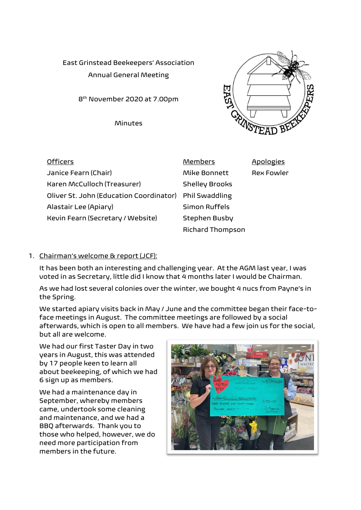East Grinstead Beekeepers' Association Annual General Meeting

8 th November 2020 at 7.00pm

Minutes



| <b>Officers</b>                                        | <b>Members</b>        | <b>Apologies</b>  |
|--------------------------------------------------------|-----------------------|-------------------|
| Janice Fearn (Chair)                                   | Mike Bonnett          | <b>Rex Fowler</b> |
| Karen McCulloch (Treasurer)                            | <b>Shelley Brooks</b> |                   |
| Oliver St. John (Education Coordinator) Phil Swaddling |                       |                   |
| Alastair Lee (Apiary)                                  | Simon Ruffels         |                   |
| Kevin Fearn (Secretary / Website)                      | Stephen Busby         |                   |
|                                                        | Richard Thompson      |                   |

## 1. Chairman's welcome & report (JCF):

It has been both an interesting and challenging year. At the AGM last year, I was voted in as Secretary, little did I know that 4 months later I would be Chairman.

As we had lost several colonies over the winter, we bought 4 nucs from Payne's in the Spring.

We started apiary visits back in May / June and the committee began their face-toface meetings in August. The committee meetings are followed by a social afterwards, which is open to all members. We have had a few join us for the social, but all are welcome.

We had our first Taster Day in two years in August, this was attended by 17 people keen to learn all about beekeeping, of which we had 6 sign up as members.

We had a maintenance day in September, whereby members came, undertook some cleaning and maintenance, and we had a BBQ afterwards. Thank you to those who helped, however, we do need more participation from members in the future.

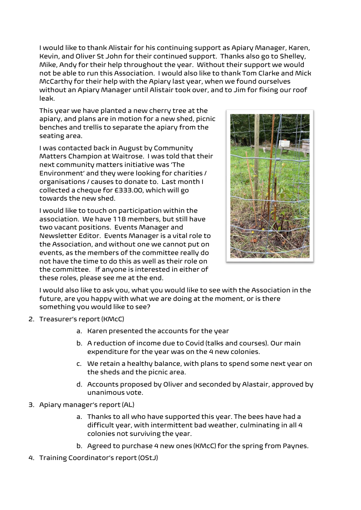I would like to thank Alistair for his continuing support as Apiary Manager, Karen, Kevin, and Oliver St John for their continued support. Thanks also go to Shelley, Mike, Andy for their help throughout the year. Without their support we would not be able to run this Association. I would also like to thank Tom Clarke and Mick McCarthy for their help with the Apiary last year, when we found ourselves without an Apiary Manager until Alistair took over, and to Jim for fixing our roof leak.

This year we have planted a new cherry tree at the apiary, and plans are in motion for a new shed, picnic benches and trellis to separate the apiary from the seating area.

I was contacted back in August by Community Matters Champion at Waitrose. I was told that their next community matters initiative was 'The Environment' and they were looking for charities / organisations / causes to donate to. Last month I collected a cheque for £333.00, which will go towards the new shed.

I would like to touch on participation within the association. We have 118 members, but still have two vacant positions. Events Manager and Newsletter Editor. Events Manager is a vital role to the Association, and without one we cannot put on events, as the members of the committee really do not have the time to do this as well as their role on the committee. If anyone is interested in either of these roles, please see me at the end.



I would also like to ask you, what you would like to see with the Association in the future, are you happy with what we are doing at the moment, or is there something you would like to see?

- 2. Treasurer's report (KMcC)
	- a. Karen presented the accounts for the year
	- b. A reduction of income due to Covid (talks and courses). Our main expenditure for the year was on the 4 new colonies.
	- c. We retain a healthy balance, with plans to spend some next year on the sheds and the picnic area.
	- d. Accounts proposed by Oliver and seconded by Alastair, approved by unanimous vote.
- 3. Apiary manager's report (AL)
	- a. Thanks to all who have supported this year. The bees have had a difficult year, with intermittent bad weather, culminating in all 4 colonies not surviving the year.
	- b. Agreed to purchase 4 new ones (KMcC) for the spring from Paynes.
- 4. Training Coordinator's report (OStJ)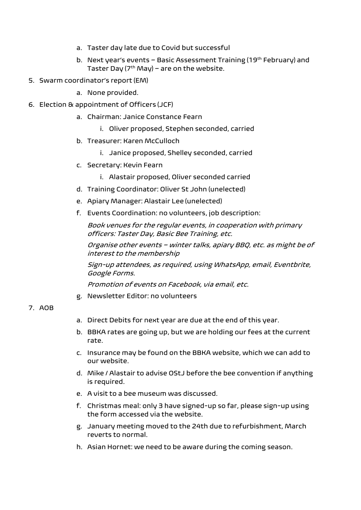- a. Taster day late due to Covid but successful
- b. Next year's events Basic Assessment Training (19th February) and Taster Day ( $7<sup>th</sup>$  May) – are on the website.
- 5. Swarm coordinator's report (EM)
	- a. None provided.
- 6. Election & appointment of Officers (JCF)
	- a. Chairman: Janice Constance Fearn
		- i. Oliver proposed, Stephen seconded, carried
	- b. Treasurer: Karen McCulloch
		- i. Janice proposed, Shelley seconded, carried
	- c. Secretary: Kevin Fearn
		- i. Alastair proposed, Oliver seconded carried
	- d. Training Coordinator: Oliver St John (unelected)
	- e. Apiary Manager: Alastair Lee (unelected)
	- f. Events Coordination: no volunteers, job description:

Book venues for the regular events, in cooperation with primary officers: Taster Day, Basic Bee Training, etc.

Organise other events – winter talks, apiary BBQ, etc. as might be of interest to the membership

Sign-up attendees, as required, using WhatsApp, email, Eventbrite, Google Forms.

Promotion of events on Facebook, via email, etc.

g. Newsletter Editor: no volunteers

## 7. AOB

- a. Direct Debits for next year are due at the end of this year.
- b. BBKA rates are going up, but we are holding our fees at the current rate.
- c. Insurance may be found on the BBKA website, which we can add to our website.
- d. Mike / Alastair to advise OStJ before the bee convention if anything is required.
- e. A visit to a bee museum was discussed.
- f. Christmas meal: only 3 have signed-up so far, please sign-up using the form accessed via the website.
- g. January meeting moved to the 24th due to refurbishment, March reverts to normal.
- h. Asian Hornet: we need to be aware during the coming season.